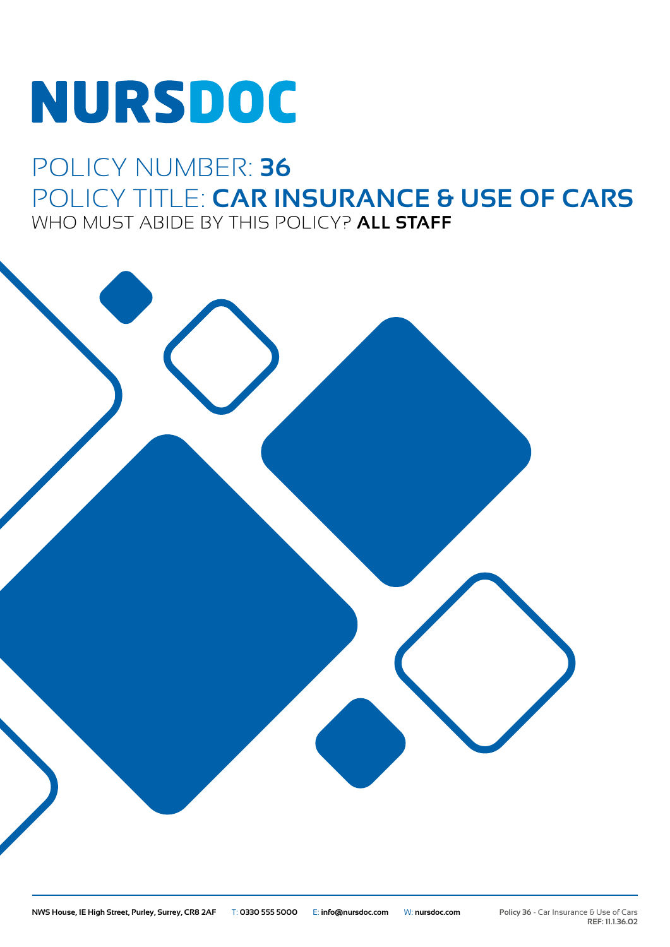# **NURSDOC**

## POLICY NUMBER: **36** POLICY TITLE: **CAR INSURANCE & USE OF CARS** WHO MUST ABIDE BY THIS POLICY? **ALL STAFF**